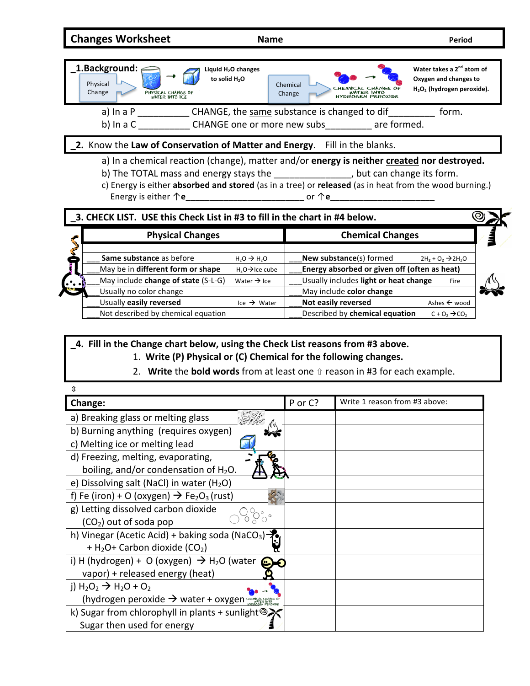**Changes Worksheet Name Name** *Period* 



| <b>Physical Changes</b>             |                             | <b>Chemical Changes</b>                      |                                |  |  |
|-------------------------------------|-----------------------------|----------------------------------------------|--------------------------------|--|--|
| Same substance as before            | $H2O \rightarrow H2O$       | New substance(s) formed                      | $2H_2 + O_2 \rightarrow 2H_2O$ |  |  |
| May be in different form or shape   | $H_2O \rightarrow$ Ice cube | Energy absorbed or given off (often as heat) |                                |  |  |
| May include change of state (S-L-G) | Water $\rightarrow$ Ice     | Usually includes light or heat change        | Fire                           |  |  |
| Usually no color change             |                             | May include color change                     |                                |  |  |
| Usually easily reversed             | Ice $\rightarrow$ Water     | Not easily reversed                          | Ashes $\leftarrow$ wood        |  |  |
| Not described by chemical equation  |                             | Described by chemical equation               | $C + O_2 \rightarrow CO_2$     |  |  |

**\_4. Fill in the Change chart below, using the Check List reasons from #3 above.** 

- 1. Write (P) Physical or (C) Chemical for the following changes.
- 2. Write the **bold words** from at least one *û* reason in #3 for each example.

| ⇕                                                                                                  |         |                               |
|----------------------------------------------------------------------------------------------------|---------|-------------------------------|
| Change:                                                                                            | P or C? | Write 1 reason from #3 above: |
| a) Breaking glass or melting glass                                                                 |         |                               |
| b) Burning anything (requires oxygen)                                                              |         |                               |
| c) Melting ice or melting lead                                                                     |         |                               |
| d) Freezing, melting, evaporating,                                                                 |         |                               |
| boiling, and/or condensation of $H_2O$ .                                                           |         |                               |
| e) Dissolving salt (NaCl) in water (H <sub>2</sub> O)                                              |         |                               |
| f) Fe (iron) + O (oxygen) $\rightarrow$ Fe <sub>2</sub> O <sub>3</sub> (rust)                      |         |                               |
| g) Letting dissolved carbon dioxide                                                                |         |                               |
| $(CO2)$ out of soda pop                                                                            |         |                               |
| h) Vinegar (Acetic Acid) + baking soda (NaCO <sub>3</sub> )                                        |         |                               |
| + H <sub>2</sub> O+ Carbon dioxide (CO <sub>2</sub> )                                              |         |                               |
| i) H (hydrogen) + O (oxygen) $\rightarrow$ H <sub>2</sub> O (water                                 |         |                               |
| vapor) + released energy (heat)                                                                    |         |                               |
| j) $H_2O_2 \rightarrow H_2O + O_2$                                                                 |         |                               |
| (hydrogen peroxide $\rightarrow$ water + oxygen $\frac{C_{HEMCALG}^{HEMCALG}}{C_{HEMCALG}^{HEMC}}$ |         |                               |
| k) Sugar from chlorophyll in plants + sunlight $\mathcal{D}$                                       |         |                               |
| Sugar then used for energy                                                                         |         |                               |